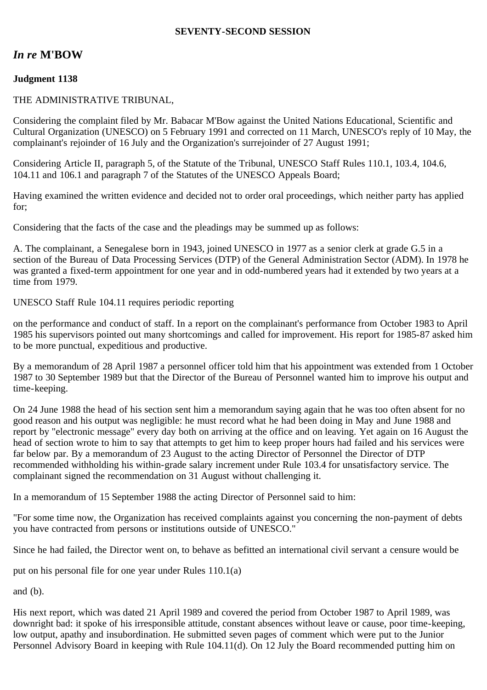### **SEVENTY-SECOND SESSION**

# *In re* **M'BOW**

## **Judgment 1138**

### THE ADMINISTRATIVE TRIBUNAL,

Considering the complaint filed by Mr. Babacar M'Bow against the United Nations Educational, Scientific and Cultural Organization (UNESCO) on 5 February 1991 and corrected on 11 March, UNESCO's reply of 10 May, the complainant's rejoinder of 16 July and the Organization's surrejoinder of 27 August 1991;

Considering Article II, paragraph 5, of the Statute of the Tribunal, UNESCO Staff Rules 110.1, 103.4, 104.6, 104.11 and 106.1 and paragraph 7 of the Statutes of the UNESCO Appeals Board;

Having examined the written evidence and decided not to order oral proceedings, which neither party has applied for;

Considering that the facts of the case and the pleadings may be summed up as follows:

A. The complainant, a Senegalese born in 1943, joined UNESCO in 1977 as a senior clerk at grade G.5 in a section of the Bureau of Data Processing Services (DTP) of the General Administration Sector (ADM). In 1978 he was granted a fixed-term appointment for one year and in odd-numbered years had it extended by two years at a time from 1979.

UNESCO Staff Rule 104.11 requires periodic reporting

on the performance and conduct of staff. In a report on the complainant's performance from October 1983 to April 1985 his supervisors pointed out many shortcomings and called for improvement. His report for 1985-87 asked him to be more punctual, expeditious and productive.

By a memorandum of 28 April 1987 a personnel officer told him that his appointment was extended from 1 October 1987 to 30 September 1989 but that the Director of the Bureau of Personnel wanted him to improve his output and time-keeping.

On 24 June 1988 the head of his section sent him a memorandum saying again that he was too often absent for no good reason and his output was negligible: he must record what he had been doing in May and June 1988 and report by "electronic message" every day both on arriving at the office and on leaving. Yet again on 16 August the head of section wrote to him to say that attempts to get him to keep proper hours had failed and his services were far below par. By a memorandum of 23 August to the acting Director of Personnel the Director of DTP recommended withholding his within-grade salary increment under Rule 103.4 for unsatisfactory service. The complainant signed the recommendation on 31 August without challenging it.

In a memorandum of 15 September 1988 the acting Director of Personnel said to him:

"For some time now, the Organization has received complaints against you concerning the non-payment of debts you have contracted from persons or institutions outside of UNESCO."

Since he had failed, the Director went on, to behave as befitted an international civil servant a censure would be

put on his personal file for one year under Rules 110.1(a)

and (b).

His next report, which was dated 21 April 1989 and covered the period from October 1987 to April 1989, was downright bad: it spoke of his irresponsible attitude, constant absences without leave or cause, poor time-keeping, low output, apathy and insubordination. He submitted seven pages of comment which were put to the Junior Personnel Advisory Board in keeping with Rule 104.11(d). On 12 July the Board recommended putting him on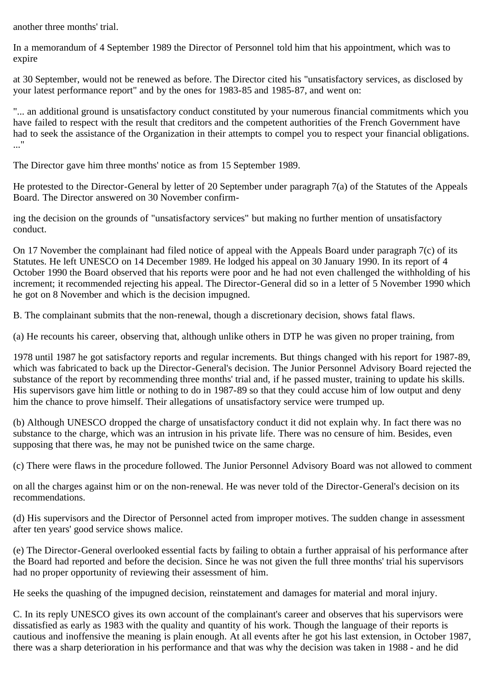another three months' trial.

In a memorandum of 4 September 1989 the Director of Personnel told him that his appointment, which was to expire

at 30 September, would not be renewed as before. The Director cited his "unsatisfactory services, as disclosed by your latest performance report" and by the ones for 1983-85 and 1985-87, and went on:

"... an additional ground is unsatisfactory conduct constituted by your numerous financial commitments which you have failed to respect with the result that creditors and the competent authorities of the French Government have had to seek the assistance of the Organization in their attempts to compel you to respect your financial obligations. ..."

The Director gave him three months' notice as from 15 September 1989.

He protested to the Director-General by letter of 20 September under paragraph 7(a) of the Statutes of the Appeals Board. The Director answered on 30 November confirm-

ing the decision on the grounds of "unsatisfactory services" but making no further mention of unsatisfactory conduct.

On 17 November the complainant had filed notice of appeal with the Appeals Board under paragraph 7(c) of its Statutes. He left UNESCO on 14 December 1989. He lodged his appeal on 30 January 1990. In its report of 4 October 1990 the Board observed that his reports were poor and he had not even challenged the withholding of his increment; it recommended rejecting his appeal. The Director-General did so in a letter of 5 November 1990 which he got on 8 November and which is the decision impugned.

B. The complainant submits that the non-renewal, though a discretionary decision, shows fatal flaws.

(a) He recounts his career, observing that, although unlike others in DTP he was given no proper training, from

1978 until 1987 he got satisfactory reports and regular increments. But things changed with his report for 1987-89, which was fabricated to back up the Director-General's decision. The Junior Personnel Advisory Board rejected the substance of the report by recommending three months' trial and, if he passed muster, training to update his skills. His supervisors gave him little or nothing to do in 1987-89 so that they could accuse him of low output and deny him the chance to prove himself. Their allegations of unsatisfactory service were trumped up.

(b) Although UNESCO dropped the charge of unsatisfactory conduct it did not explain why. In fact there was no substance to the charge, which was an intrusion in his private life. There was no censure of him. Besides, even supposing that there was, he may not be punished twice on the same charge.

(c) There were flaws in the procedure followed. The Junior Personnel Advisory Board was not allowed to comment

on all the charges against him or on the non-renewal. He was never told of the Director-General's decision on its recommendations.

(d) His supervisors and the Director of Personnel acted from improper motives. The sudden change in assessment after ten years' good service shows malice.

(e) The Director-General overlooked essential facts by failing to obtain a further appraisal of his performance after the Board had reported and before the decision. Since he was not given the full three months' trial his supervisors had no proper opportunity of reviewing their assessment of him.

He seeks the quashing of the impugned decision, reinstatement and damages for material and moral injury.

C. In its reply UNESCO gives its own account of the complainant's career and observes that his supervisors were dissatisfied as early as 1983 with the quality and quantity of his work. Though the language of their reports is cautious and inoffensive the meaning is plain enough. At all events after he got his last extension, in October 1987, there was a sharp deterioration in his performance and that was why the decision was taken in 1988 - and he did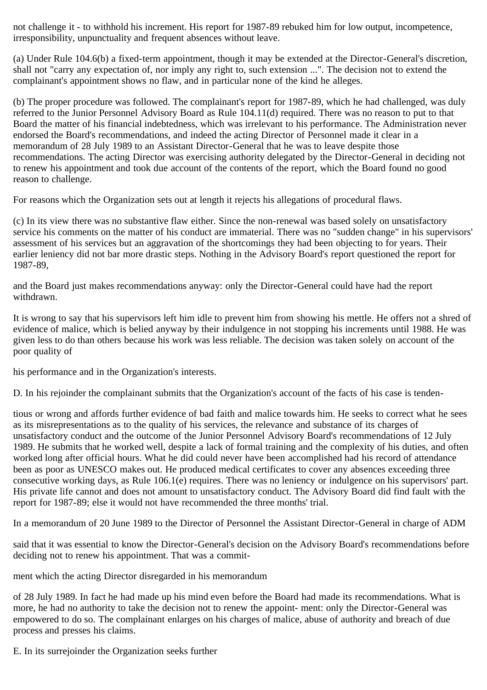not challenge it - to withhold his increment. His report for 1987-89 rebuked him for low output, incompetence, irresponsibility, unpunctuality and frequent absences without leave.

(a) Under Rule 104.6(b) a fixed-term appointment, though it may be extended at the Director-General's discretion, shall not "carry any expectation of, nor imply any right to, such extension ...". The decision not to extend the complainant's appointment shows no flaw, and in particular none of the kind he alleges.

(b) The proper procedure was followed. The complainant's report for 1987-89, which he had challenged, was duly referred to the Junior Personnel Advisory Board as Rule 104.11(d) required. There was no reason to put to that Board the matter of his financial indebtedness, which was irrelevant to his performance. The Administration never endorsed the Board's recommendations, and indeed the acting Director of Personnel made it clear in a memorandum of 28 July 1989 to an Assistant Director-General that he was to leave despite those recommendations. The acting Director was exercising authority delegated by the Director-General in deciding not to renew his appointment and took due account of the contents of the report, which the Board found no good reason to challenge.

For reasons which the Organization sets out at length it rejects his allegations of procedural flaws.

(c) In its view there was no substantive flaw either. Since the non-renewal was based solely on unsatisfactory service his comments on the matter of his conduct are immaterial. There was no "sudden change" in his supervisors' assessment of his services but an aggravation of the shortcomings they had been objecting to for years. Their earlier leniency did not bar more drastic steps. Nothing in the Advisory Board's report questioned the report for 1987-89,

and the Board just makes recommendations anyway: only the Director-General could have had the report withdrawn.

It is wrong to say that his supervisors left him idle to prevent him from showing his mettle. He offers not a shred of evidence of malice, which is belied anyway by their indulgence in not stopping his increments until 1988. He was given less to do than others because his work was less reliable. The decision was taken solely on account of the poor quality of

his performance and in the Organization's interests.

D. In his rejoinder the complainant submits that the Organization's account of the facts of his case is tenden-

tious or wrong and affords further evidence of bad faith and malice towards him. He seeks to correct what he sees as its misrepresentations as to the quality of his services, the relevance and substance of its charges of unsatisfactory conduct and the outcome of the Junior Personnel Advisory Board's recommendations of 12 July 1989. He submits that he worked well, despite a lack of formal training and the complexity of his duties, and often worked long after official hours. What he did could never have been accomplished had his record of attendance been as poor as UNESCO makes out. He produced medical certificates to cover any absences exceeding three consecutive working days, as Rule 106.1(e) requires. There was no leniency or indulgence on his supervisors' part. His private life cannot and does not amount to unsatisfactory conduct. The Advisory Board did find fault with the report for 1987-89; else it would not have recommended the three months' trial.

In a memorandum of 20 June 1989 to the Director of Personnel the Assistant Director-General in charge of ADM

said that it was essential to know the Director-General's decision on the Advisory Board's recommendations before deciding not to renew his appointment. That was a commit-

ment which the acting Director disregarded in his memorandum

of 28 July 1989. In fact he had made up his mind even before the Board had made its recommendations. What is more, he had no authority to take the decision not to renew the appoint- ment: only the Director-General was empowered to do so. The complainant enlarges on his charges of malice, abuse of authority and breach of due process and presses his claims.

E. In its surrejoinder the Organization seeks further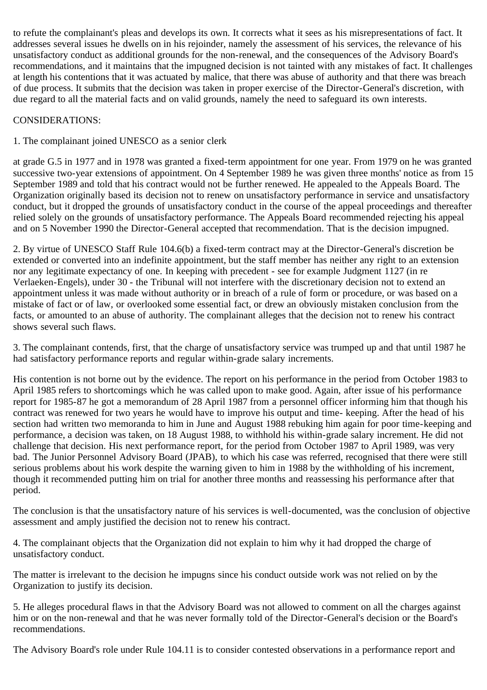to refute the complainant's pleas and develops its own. It corrects what it sees as his misrepresentations of fact. It addresses several issues he dwells on in his rejoinder, namely the assessment of his services, the relevance of his unsatisfactory conduct as additional grounds for the non-renewal, and the consequences of the Advisory Board's recommendations, and it maintains that the impugned decision is not tainted with any mistakes of fact. It challenges at length his contentions that it was actuated by malice, that there was abuse of authority and that there was breach of due process. It submits that the decision was taken in proper exercise of the Director-General's discretion, with due regard to all the material facts and on valid grounds, namely the need to safeguard its own interests.

## CONSIDERATIONS:

## 1. The complainant joined UNESCO as a senior clerk

at grade G.5 in 1977 and in 1978 was granted a fixed-term appointment for one year. From 1979 on he was granted successive two-year extensions of appointment. On 4 September 1989 he was given three months' notice as from 15 September 1989 and told that his contract would not be further renewed. He appealed to the Appeals Board. The Organization originally based its decision not to renew on unsatisfactory performance in service and unsatisfactory conduct, but it dropped the grounds of unsatisfactory conduct in the course of the appeal proceedings and thereafter relied solely on the grounds of unsatisfactory performance. The Appeals Board recommended rejecting his appeal and on 5 November 1990 the Director-General accepted that recommendation. That is the decision impugned.

2. By virtue of UNESCO Staff Rule 104.6(b) a fixed-term contract may at the Director-General's discretion be extended or converted into an indefinite appointment, but the staff member has neither any right to an extension nor any legitimate expectancy of one. In keeping with precedent - see for example Judgment 1127 (in re Verlaeken-Engels), under 30 - the Tribunal will not interfere with the discretionary decision not to extend an appointment unless it was made without authority or in breach of a rule of form or procedure, or was based on a mistake of fact or of law, or overlooked some essential fact, or drew an obviously mistaken conclusion from the facts, or amounted to an abuse of authority. The complainant alleges that the decision not to renew his contract shows several such flaws.

3. The complainant contends, first, that the charge of unsatisfactory service was trumped up and that until 1987 he had satisfactory performance reports and regular within-grade salary increments.

His contention is not borne out by the evidence. The report on his performance in the period from October 1983 to April 1985 refers to shortcomings which he was called upon to make good. Again, after issue of his performance report for 1985-87 he got a memorandum of 28 April 1987 from a personnel officer informing him that though his contract was renewed for two years he would have to improve his output and time- keeping. After the head of his section had written two memoranda to him in June and August 1988 rebuking him again for poor time-keeping and performance, a decision was taken, on 18 August 1988, to withhold his within-grade salary increment. He did not challenge that decision. His next performance report, for the period from October 1987 to April 1989, was very bad. The Junior Personnel Advisory Board (JPAB), to which his case was referred, recognised that there were still serious problems about his work despite the warning given to him in 1988 by the withholding of his increment, though it recommended putting him on trial for another three months and reassessing his performance after that period.

The conclusion is that the unsatisfactory nature of his services is well-documented, was the conclusion of objective assessment and amply justified the decision not to renew his contract.

4. The complainant objects that the Organization did not explain to him why it had dropped the charge of unsatisfactory conduct.

The matter is irrelevant to the decision he impugns since his conduct outside work was not relied on by the Organization to justify its decision.

5. He alleges procedural flaws in that the Advisory Board was not allowed to comment on all the charges against him or on the non-renewal and that he was never formally told of the Director-General's decision or the Board's recommendations.

The Advisory Board's role under Rule 104.11 is to consider contested observations in a performance report and